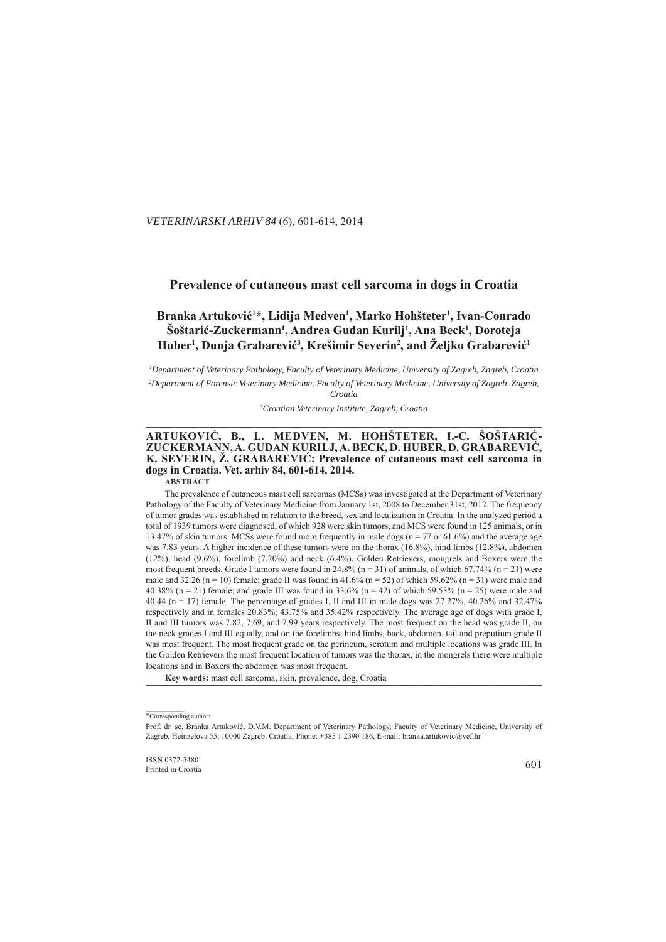. *VETERINARSKI ARHIV 84* (6), 601-614, 2014

# **Prevalence of cutaneous mast cell sarcoma in dogs in Croatia**

# Branka Artuković<sup>1\*</sup>, Lidija Medven<sup>1</sup>, Marko Hohšteter<sup>1</sup>, Ivan-Conrado  $\delta$ oštarić-Zuckermann<sup>1</sup>, Andrea Gudan Kurilj<sup>1</sup>, Ana Beck<sup>1</sup>, Doroteja  $H$ uber<sup>1</sup>, Dunja Grabarević<sup>3</sup>, Krešimir Severin<sup>2</sup>, and Željko Grabarević<sup>1</sup>

*1 Department of Veterinary Pathology, Faculty of Veterinary Medicine, University of Zagreb, Zagreb, Croatia epartment*  <sup>2</sup>Department of Forensic Veterinary Medicine, Faculty of Veterinary Medicine, University of Zagreb, Zagreb, *Croatia*

*3 Croatian Veterinary Institute, Zagreb, Croatia roatian*  **\_\_\_\_\_\_\_\_\_\_\_\_\_\_\_\_\_\_\_\_\_\_\_\_\_\_\_\_\_\_\_\_\_\_\_\_\_\_\_\_\_\_\_\_\_\_\_\_\_\_\_\_\_\_\_\_\_\_\_\_\_\_\_ \_\_\_\_\_\_\_\_\_\_\_\_\_\_\_\_\_\_\_\_\_\_\_\_\_\_\_\_\_\_\_\_\_\_\_\_\_\_\_\_\_\_\_\_\_\_\_\_\_\_\_\_\_\_\_\_\_\_\_\_\_\_\_\_\_\_\_\_\_\_\_\_\_\_\_\_\_\_\_\_\_\_\_\_\_\_\_ \_\_\_\_\_\_\_\_\_\_\_\_\_\_\_\_\_\_\_\_\_\_\_\_\_**

#### **ARTUKOVIĆ, B., L. MEDVEN, M. HOHŠTETER, I.-C. ŠOŠTARIĆ- RTUKOVIĆ, ŠOŠTARIĆ-**ZUCKERMANN, A. GUDAN KURILJ, A. BECK, D. HUBER, D. GRABAREVIĆ, **K. SEVERIN, Ž. GRABAREVIĆ: Prevalence of cutaneous mast cell sarcoma in dogs in Croatia ogs Croatia. Vet. arhiv 84, 601-614, 2014. ABSTRACT**

The prevalence of cutaneous mast cell sarcomas (MCSs) was investigated at the Department of Veterinary Pathology of the Faculty of Veterinary Medicine from January 1st, 2008 to December 31st, 2012. The frequency of tumor grades was established in relation to the breed, sex and localization in Croatia. In the analyzed period a total of 1939 tumors were diagnosed, of which 928 were skin tumors, and MCS were found in 125 animals, or in 13.47% of skin tumors. MCSs were found more frequently in male dogs  $(n = 77 \text{ or } 61.6\%)$  and the average age was 7.83 years. A higher incidence of these tumors were on the thorax (16.8%), hind limbs (12.8%), abdomen (12%), head (9.6%), forelimb (7.20%) and neck (6.4%). Golden Retrievers, mongrels and Boxers were the most frequent breeds. Grade I tumors were found in 24.8% (n = 31) of animals, of which 67.74% (n = 21) were male and 32.26 (n = 10) female; grade II was found in 41.6% (n = 52) of which 59.62% (n = 31) were male and 40.38% (n = 21) female; and grade III was found in 33.6% (n = 42) of which 59.53% (n = 25) were male and 40.44 (n = 17) female. The percentage of grades I, II and III in male dogs was 27.27%, 40.26% and 32.47% respectively and in females 20.83%; 43.75% and 35.42% respectively. The average age of dogs with grade I, II and III tumors was 7.82, 7.69, and 7.99 years respectively. The most frequent on the head was grade II, on the neck grades I and III equally, and on the forelimbs, hind limbs, back, abdomen, tail and preputium grade II was most frequent. The most frequent grade on the perineum, scrotum and multiple locations was grade III. In the Golden Retrievers the most frequent location of tumors was the thorax, in the mongrels there were multiple locations and in Boxers the abdomen was most frequent.

Key words: mast cell sarcoma, skin, prevalence, dog, Croatia

<sup>\*</sup>Corresponding author:

Prof. dr. sc. Branka Artuković, D.V.M. Department of Veterinary Pathology, Faculty of Veterinary Medicine, University of Zagreb, Heinzelova 55, 10000 Zagreb, Croatia; Phone: +385 1 2390 186, E-mail: branka.artukovic@vef.hr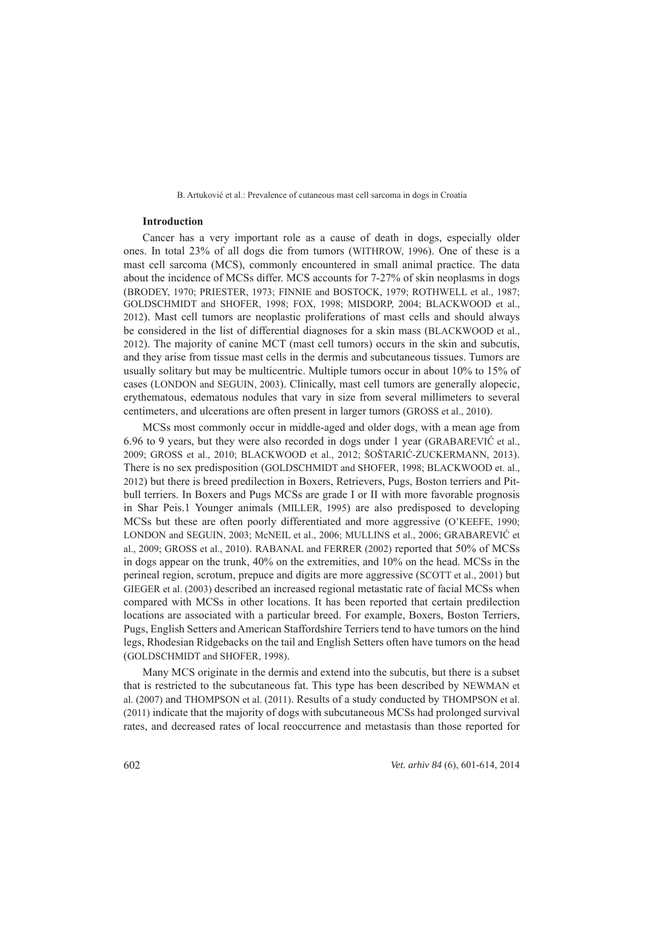### **Introduction ntroduction**

Cancer has a very important role as a cause of death in dogs, especially older ones. In total 23% of all dogs die from tumors (WITHROW, 1996). One of these is a mast cell sarcoma (MCS), commonly encountered in small animal practice. The data about the incidence of MCSs differ. MCS accounts for 7-27% of skin neoplasms in dogs (BRODEY, 1970; PRIESTER, 1973; FINNIE and BOSTOCK, 1979; ROTHWELL et al., 1987; GOLDSCHMIDT and SHOFER, 1998; FOX, 1998; MISDORP, 2004; BLACKWOOD et al., 2012). Mast cell tumors are neoplastic proliferations of mast cells and should always be considered in the list of differential diagnoses for a skin mass (BLACKWOOD et al.,  $2012$ ). The majority of canine MCT (mast cell tumors) occurs in the skin and subcutis, and they arise from tissue mast cells in the dermis and subcutaneous tissues. Tumors are usually solitary but may be multicentric. Multiple tumors occur in about  $10\%$  to  $15\%$  of cases (LONDON and SEGUIN, 2003). Clinically, mast cell tumors are generally alopecic, erythematous, edematous nodules that vary in size from several millimeters to several centimeters, and ulcerations are often present in larger tumors (GROSS et al., 2010).

MCSs most commonly occur in middle-aged and older dogs, with a mean age from 6.96 to 9 years, but they were also recorded in dogs under 1 year (GRABAREVIĆ et al., 2009; GROSS et al., 2010; BLACKWOOD et al., 2012; ŠOŠTARIĆ-ZUCKERMANN, 2013). There is no sex predisposition (GOLDSCHMIDT and SHOFER, 1998; BLACKWOOD et. al., 2012) but there is breed predilection in Boxers, Retrievers, Pugs, Boston terriers and Pitbull terriers. In Boxers and Pugs MCSs are grade I or II with more favorable prognosis in Shar Peis.1 Younger animals (MILLER, 1995) are also predisposed to developing MCSs but these are often poorly differentiated and more aggressive (O'KEEFE, 1990; LONDON and SEGUIN, 2003; McNEIL et al., 2006; MULLINS et al., 2006; GRABAREVIĆ et al., 2009; GROSS et al., 2010). RABANAL and FERRER (2002) reported that 50% of MCSs in dogs appear on the trunk,  $40\%$  on the extremities, and  $10\%$  on the head. MCSs in the perineal region, scrotum, prepuce and digits are more aggressive (SCOTT et al., 2001) but GIEGER et al. (2003) described an increased regional metastatic rate of facial MCSs when compared with MCSs in other locations. It has been reported that certain predilection locations are associated with a particular breed. For example, Boxers, Boston Terriers, Pugs, English Setters and American Staffordshire Terriers tend to have tumors on the hind legs, Rhodesian Ridgebacks on the tail and English Setters often have tumors on the head (GOLDSCHMIDT and SHOFER, 1998).

Many MCS originate in the dermis and extend into the subcutis, but there is a subset that is restricted to the subcutaneous fat. This type has been described by NEWMAN et al. (2007) and THOMPSON et al. (2011). Results of a study conducted by THOMPSON et al.  $(2011)$  indicate that the majority of dogs with subcutaneous MCSs had prolonged survival rates, and decreased rates of local reoccurrence and metastasis than those reported for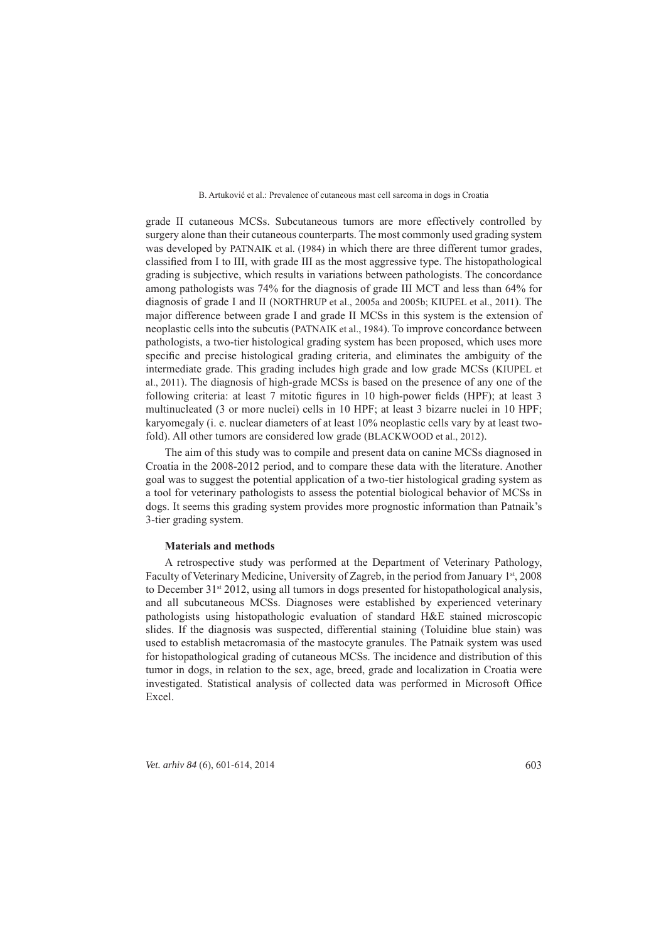grade II cutaneous MCSs. Subcutaneous tumors are more effectively controlled by surgery alone than their cutaneous counterparts. The most commonly used grading system was developed by PATNAIK et al. (1984) in which there are three different tumor grades, classified from I to III, with grade III as the most aggressive type. The histopathological grading is subjective, which results in variations between pathologists. The concordance among pathologists was  $74\%$  for the diagnosis of grade III MCT and less than  $64\%$  for diagnosis of grade I and II (NORTHRUP et al., 2005a and 2005b; KIUPEL et al., 2011). The major difference between grade I and grade II MCSs in this system is the extension of neoplastic cells into the subcutis (PATNAIK et al., 1984). To improve concordance between pathologists, a two-tier histological grading system has been proposed, which uses more specific and precise histological grading criteria, and eliminates the ambiguity of the intermediate grade. This grading includes high grade and low grade MCSs (KIUPEL et al., 2011). The diagnosis of high-grade MCSs is based on the presence of any one of the following criteria: at least 7 mitotic figures in 10 high-power fields (HPF); at least 3 multinucleated (3 or more nuclei) cells in 10 HPF; at least 3 bizarre nuclei in 10 HPF; karyomegaly (i. e. nuclear diameters of at least 10% neoplastic cells vary by at least twofold). All other tumors are considered low grade (BLACKWOOD et al., 2012).

The aim of this study was to compile and present data on canine MCSs diagnosed in Croatia in the 2008-2012 period, and to compare these data with the literature. Another goal was to suggest the potential application of a two-tier histological grading system as a tool for veterinary pathologists to assess the potential biological behavior of MCSs in dogs. It seems this grading system provides more prognostic information than Patnaik's 3-tier grading system.

### **Materials and methods aterials**

A retrospective study was performed at the Department of Veterinary Pathology, Faculty of Veterinary Medicine, University of Zagreb, in the period from January 1st, 2008 to December 31 $\frac{1}{3}$  2012, using all tumors in dogs presented for histopathological analysis, and all subcutaneous MCSs. Diagnoses were established by experienced veterinary pathologists using histopathologic evaluation of standard H&E stained microscopic slides. If the diagnosis was suspected, differential staining (Toluidine blue stain) was used to establish metacromasia of the mastocyte granules. The Patnaik system was used for histopathological grading of cutaneous MCSs. The incidence and distribution of this tumor in dogs, in relation to the sex, age, breed, grade and localization in Croatia were investigated. Statistical analysis of collected data was performed in Microsoft Office Excel.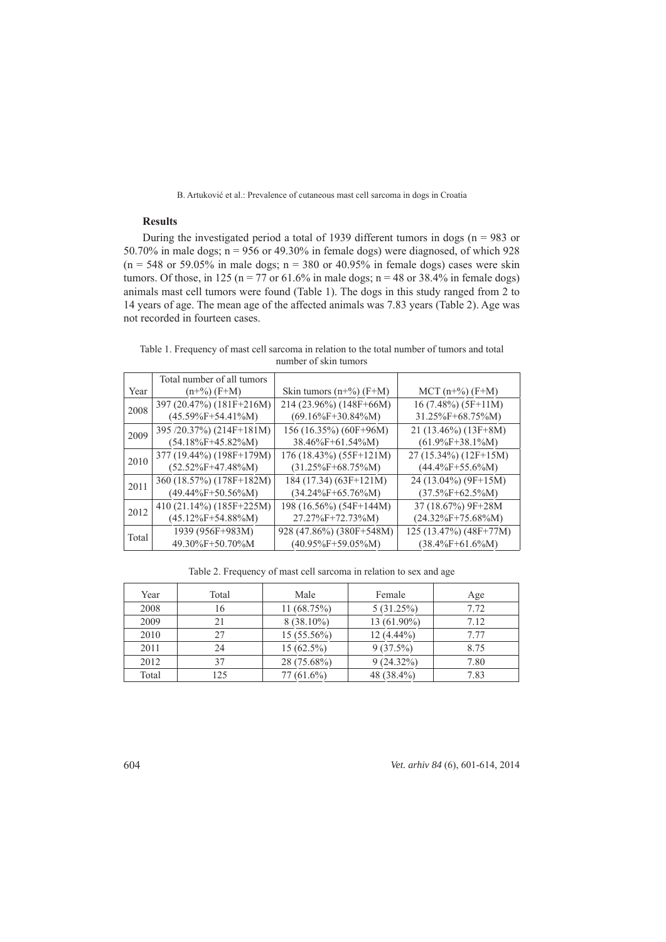# **Results**

During the investigated period a total of 1939 different tumors in dogs ( $n = 983$  or 50.70% in male dogs;  $n = 956$  or 49.30% in female dogs) were diagnosed, of which 928 (n = 548 or 59.05% in male dogs; n = 380 or 40.95% in female dogs) cases were skin tumors. Of those, in 125 (n = 77 or 61.6% in male dogs; n = 48 or 38.4% in female dogs) animals mast cell tumors were found (Table 1). The dogs in this study ranged from 2 to 14 years of age. The mean age of the affected animals was 7.83 years (Table 2). Age was not recorded in fourteen cases.

Table 1. Frequency of mast cell sarcoma in relation to the total number of tumors and total number of skin tumors

|       | Total number of all tumors |                           |                        |
|-------|----------------------------|---------------------------|------------------------|
| Year  | $(n+%)(F+M)$               | Skin tumors $(n+%)$ (F+M) | $MCT (n+%) (F+M)$      |
| 2008  | 397 (20.47%) (181F+216M)   | 214 (23.96%) (148F+66M)   | $16(7.48\%)$ (5F+11M)  |
|       | $(45.59\%F+54.41\%M)$      | $(69.16\%F+30.84\%M)$     | 31.25%F+68.75%M)       |
| 2009  | 395 /20.37%) (214F+181M)   | 156 (16.35%) (60F+96M)    | $21(13.46\%)$ (13F+8M) |
|       | $(54.18\%F+45.82\%M)$      | $38.46\%F+61.54\%M$       | $(61.9\%F+38.1\%M)$    |
| 2010  | 377 (19.44%) (198F+179M)   | 176 (18.43%) (55F+121M)   | 27 (15.34%) (12F+15M)  |
|       | $(52.52\%F+47.48\%M)$      | $(31.25\%F+68.75\%M)$     | $(44.4\%F+55.6\%M)$    |
| 2011  | 360 (18.57%) (178F+182M)   | 184 (17.34) (63F+121M)    | 24 (13.04%) (9F+15M)   |
|       | $(49.44\%F+50.56\%M)$      | $(34.24\%F+65.76\%M)$     | $(37.5\%F+62.5\%M)$    |
| 2012  | 410 (21.14%) (185F+225M)   | $198(16.56\%)$ (54F+144M) | 37 (18.67%) 9F+28M     |
|       | $(45.12\%F+54.88\%M)$      | 27.27%F+72.73%M)          | $(24.32\%F+75.68\%M)$  |
| Total | 1939 (956F+983M)           | 928 (47.86%) (380F+548M)  | 125 (13.47%) (48F+77M) |
|       | 49.30%F+50.70%M            | $(40.95\%F+59.05\%M)$     | $(38.4\%F+61.6\%M)$    |

Table 2. Frequency of mast cell sarcoma in relation to sex and age

| Year  | Total | Male          | Female       | Age  |
|-------|-------|---------------|--------------|------|
| 2008  | 16    | 11(68.75%)    | 5(31.25%)    | 7.72 |
| 2009  | 21    | $8(38.10\%)$  | 13 (61.90%)  | 7.12 |
| 2010  | 27    | $15(55.56\%)$ | $12(4.44\%)$ | 7.77 |
| 2011  | 24    | $15(62.5\%)$  | $9(37.5\%)$  | 8.75 |
| 2012  | 37    | 28 (75.68%)   | $9(24.32\%)$ | 7.80 |
| Total | 125   | $77(61.6\%)$  | 48 (38.4%)   | 7.83 |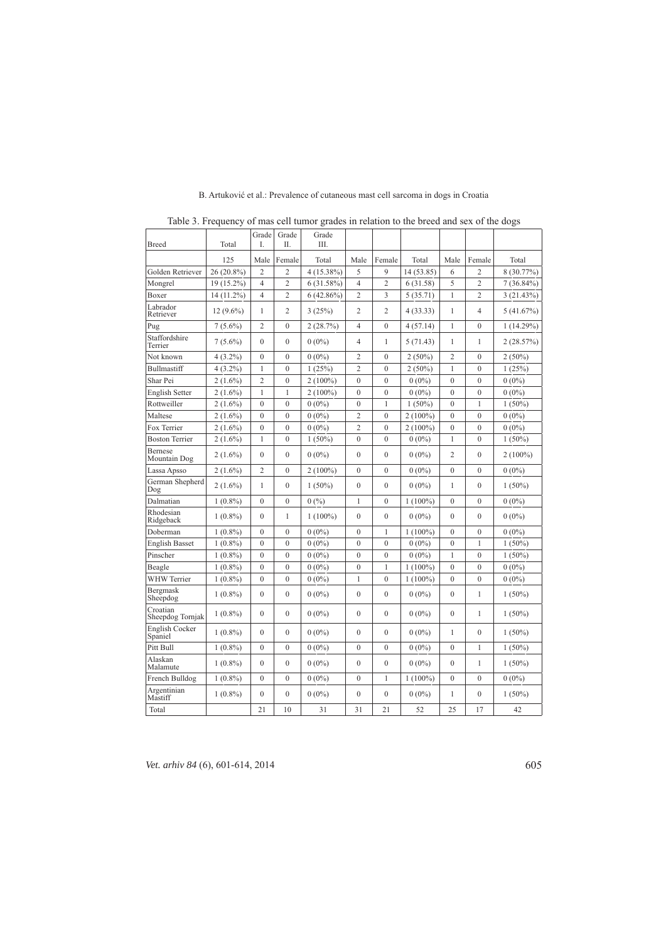| <b>Breed</b>                 | Total       | Grade<br>I.      | Grade<br>H.    | Grade<br>III. |                  |                |            |                  |                |              |
|------------------------------|-------------|------------------|----------------|---------------|------------------|----------------|------------|------------------|----------------|--------------|
|                              | 125         | Male             | Female         | Total         | Male             | Female         | Total      | Male             | Female         | Total        |
| Golden Retriever             | 26 (20.8%)  | $\overline{c}$   | $\overline{c}$ | 4 (15.38%)    | 5                | 9              | 14 (53.85) | 6                | $\overline{2}$ | 8 (30.77%)   |
| Mongrel                      | 19 (15.2%)  | $\overline{4}$   | $\overline{2}$ | 6(31.58%)     | $\overline{4}$   | $\overline{2}$ | 6(31.58)   | 5                | $\overline{2}$ | $7(36.84\%)$ |
| Boxer                        | 14 (11.2%)  | 4                | $\overline{2}$ | $6(42.86\%)$  | $\overline{2}$   | 3              | 5(35.71)   | 1                | $\overline{c}$ | 3(21.43%)    |
| Labrador<br>Retriever        | $12(9.6\%)$ | 1                | $\overline{2}$ | 3(25%)        | 2                | $\overline{2}$ | 4(33.33)   | $\mathbf{1}$     | 4              | 5(41.67%)    |
| Pug                          | $7(5.6\%)$  | $\overline{2}$   | $\mathbf{0}$   | 2(28.7%)      | $\overline{4}$   | $\mathbf{0}$   | 4(57.14)   | $\mathbf{1}$     | $\mathbf{0}$   | 1(14.29%)    |
| Staffordshire<br>Terrier     | $7(5.6\%)$  | $\theta$         | $\mathbf{0}$   | $0(0\%)$      | 4                | 1              | 5 (71.43)  | 1                | 1              | 2(28.57%)    |
| Not known                    | $4(3.2\%)$  | $\boldsymbol{0}$ | $\mathbf{0}$   | $0(0\%)$      | $\overline{2}$   | $\mathbf{0}$   | $2(50\%)$  | $\overline{c}$   | $\mathbf{0}$   | $2(50\%)$    |
| Bullmastiff                  | $4(3.2\%)$  | $\mathbf{1}$     | $\overline{0}$ | 1(25%)        | $\overline{2}$   | $\overline{0}$ | $2(50\%)$  | $\mathbf{1}$     | $\overline{0}$ | 1(25%)       |
| Shar Pei                     | $2(1.6\%)$  | $\overline{c}$   | $\mathbf{0}$   | $2(100\%)$    | $\boldsymbol{0}$ | $\mathbf{0}$   | $0(0\%)$   | $\mathbf{0}$     | $\mathbf{0}$   | $0(0\%)$     |
| <b>English Setter</b>        | $2(1.6\%)$  | $\mathbf{1}$     | 1              | $2(100\%)$    | $\mathbf{0}$     | $\mathbf{0}$   | $0(0\%)$   | $\overline{0}$   | $\overline{0}$ | $0(0\%)$     |
| Rottweiller                  | $2(1.6\%)$  | $\theta$         | $\mathbf{0}$   | $0(0\%)$      | $\mathbf{0}$     | $\mathbf{1}$   | $1(50\%)$  | $\theta$         | 1              | $1(50\%)$    |
| Maltese                      | $2(1.6\%)$  | $\mathbf{0}$     | $\overline{0}$ | $0(0\%)$      | $\overline{2}$   | $\overline{0}$ | $2(100\%)$ | $\overline{0}$   | $\theta$       | $0(0\%)$     |
| Fox Terrier                  | $2(1.6\%)$  | $\mathbf{0}$     | $\mathbf{0}$   | $0(0\%)$      | $\overline{2}$   | $\mathbf{0}$   | $2(100\%)$ | $\mathbf{0}$     | $\theta$       | $0(0\%)$     |
| <b>Boston Terrier</b>        | $2(1.6\%)$  | 1                | $\mathbf{0}$   | $1(50\%)$     | $\mathbf{0}$     | $\mathbf{0}$   | $0(0\%)$   | 1                | $\mathbf{0}$   | $1(50\%)$    |
| Bernese<br>Mountain Dog      | $2(1.6\%)$  | $\mathbf{0}$     | $\mathbf{0}$   | $0(0\%)$      | $\boldsymbol{0}$ | $\mathbf{0}$   | $0(0\%)$   | $\overline{2}$   | $\mathbf{0}$   | $2(100\%)$   |
| Lassa Apsso                  | $2(1.6\%)$  | $\overline{c}$   | $\theta$       | $2(100\%)$    | $\theta$         | $\theta$       | $0(0\%)$   | $\theta$         | $\theta$       | $0(0\%)$     |
| German Shepherd<br>Dog       | $2(1.6\%)$  | 1                | $\mathbf{0}$   | $1(50\%)$     | $\mathbf{0}$     | $\mathbf{0}$   | $0(0\%)$   | 1                | $\mathbf{0}$   | $1(50\%)$    |
| Dalmatian                    | $1(0.8\%)$  | $\mathbf{0}$     | $\mathbf{0}$   | 0(%)          | 1                | $\mathbf{0}$   | $1(100\%)$ | $\mathbf{0}$     | $\mathbf{0}$   | $0(0\%)$     |
| Rhodesian<br>Ridgeback       | $1(0.8\%)$  | $\theta$         | 1              | $1(100\%)$    | $\mathbf{0}$     | $\mathbf{0}$   | $0(0\%)$   | $\theta$         | $\mathbf{0}$   | $0(0\%)$     |
| Doberman                     | $1(0.8\%)$  | $\boldsymbol{0}$ | $\mathbf{0}$   | $0(0\%)$      | $\boldsymbol{0}$ | $\mathbf{1}$   | $1(100\%)$ | $\overline{0}$   | $\mathbf{0}$   | $0(0\%)$     |
| <b>English Basset</b>        | $1(0.8\%)$  | $\mathbf{0}$     | $\mathbf{0}$   | $0(0\%)$      | $\mathbf{0}$     | $\mathbf{0}$   | $0(0\%)$   | $\mathbf{0}$     | 1              | $1(50\%)$    |
| Pinscher                     | $1(0.8\%)$  | $\overline{0}$   | $\mathbf{0}$   | $0(0\%)$      | $\overline{0}$   | $\overline{0}$ | $0(0\%)$   | $\mathbf{1}$     | $\overline{0}$ | $1(50\%)$    |
| Beagle                       | $1(0.8\%)$  | $\overline{0}$   | $\overline{0}$ | $0(0\%)$      | $\boldsymbol{0}$ | $\mathbf{1}$   | $1(100\%)$ | $\boldsymbol{0}$ | $\mathbf{0}$   | $0(0\%)$     |
| WHW Terrier                  | $1(0.8\%)$  | $\overline{0}$   | $\overline{0}$ | $0(0\%)$      | $\mathbf{1}$     | $\overline{0}$ | $1(100\%)$ | $\overline{0}$   | $\overline{0}$ | $0(0\%)$     |
| Bergmask<br>Sheepdog         | $1(0.8\%)$  | $\theta$         | $\mathbf{0}$   | $0(0\%)$      | $\mathbf{0}$     | $\mathbf{0}$   | $0(0\%)$   | $\mathbf{0}$     | 1              | $1(50\%)$    |
| Croatian<br>Sheepdog Tornjak | $1(0.8\%)$  | $\theta$         | $\mathbf{0}$   | $0(0\%)$      | $\mathbf{0}$     | $\Omega$       | $0(0\%)$   | $\theta$         | 1              | $1(50\%)$    |
| English Cocker<br>Spaniel    | $1(0.8\%)$  | $\theta$         | $\mathbf{0}$   | $0(0\%)$      | $\mathbf{0}$     | $\mathbf{0}$   | $0(0\%)$   | 1                | $\mathbf{0}$   | $1(50\%)$    |
| Pitt Bull                    | $1(0.8\%)$  | $\mathbf{0}$     | $\mathbf{0}$   | $0(0\%)$      | $\mathbf{0}$     | $\mathbf{0}$   | $0(0\%)$   | $\mathbf{0}$     | 1              | $1(50\%)$    |
| Alaskan<br>Malamute          | $1(0.8\%)$  | $\overline{0}$   | $\mathbf{0}$   | $0(0\%)$      | $\mathbf{0}$     | $\theta$       | $0(0\%)$   | $\mathbf{0}$     | 1              | $1(50\%)$    |
| French Bulldog               | $1(0.8\%)$  | $\mathbf{0}$     | $\mathbf{0}$   | $0(0\%)$      | $\mathbf{0}$     | 1              | $1(100\%)$ | $\mathbf{0}$     | $\mathbf{0}$   | $0(0\%)$     |
| Argentinian<br>Mastiff       | $1(0.8\%)$  | $\mathbf{0}$     | $\mathbf{0}$   | $0(0\%)$      | $\mathbf{0}$     | $\mathbf{0}$   | $0(0\%)$   | 1                | $\mathbf{0}$   | $1(50\%)$    |
| Total                        |             | 21               | 10             | 31            | 31               | 21             | 52         | 25               | 17             | 42           |

B. Artuković et al.: Prevalence of cutaneous mast cell sarcoma in dogs in Croatia

Table 3. Frequency of mas cell tumor grades in relation to the breed and sex of the dogs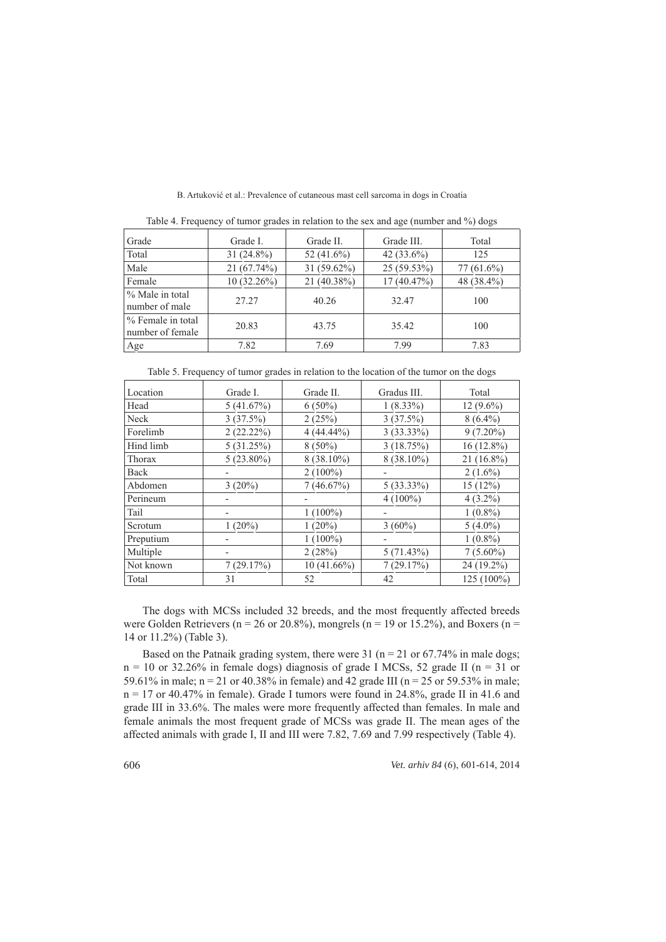| Grade                                 | Grade L       | Grade II.     | Grade III.    | Total        |
|---------------------------------------|---------------|---------------|---------------|--------------|
| Total                                 | $31(24.8\%)$  | 52 $(41.6\%)$ | 42 $(33.6\%)$ | 125          |
| Male                                  | 21(67.74%)    | 31 (59.62%)   | 25 (59.53%)   | $77(61.6\%)$ |
| Female                                | $10(32.26\%)$ | 21 (40.38%)   | 17(40.47%)    | 48 (38.4%)   |
| % Male in total<br>number of male     | 27.27         | 40.26         | 32.47         | 100          |
| % Female in total<br>number of female | 20.83         | 43.75         | 35.42         | 100          |
| Age                                   | 7.82          | 7.69          | 7.99          | 7.83         |

B. Artuković et al.: Prevalence of cutaneous mast cell sarcoma in dogs in Croatia

Table 4. Frequency of tumor grades in relation to the sex and age (number and  $\%$ ) dogs

|           | Table 5. Frequency of tumor grades in relation to the location of the tumor on the dogs |               |              |              |
|-----------|-----------------------------------------------------------------------------------------|---------------|--------------|--------------|
| Location  | Grade I.                                                                                | Grade II.     | Gradus III.  | Total        |
| Head      | 5(41.67%)                                                                               | $6(50\%)$     | $1(8.33\%)$  | $12(9.6\%)$  |
| Neck      | 3(37.5%)                                                                                | 2(25%)        | 3(37.5%)     | $8(6.4\%)$   |
| Forelimb  | 2(22.22%)                                                                               | $4(44.44\%)$  | $3(33.33\%)$ | $9(7.20\%)$  |
| Hind limb | 5(31.25%)                                                                               | $8(50\%)$     | 3(18.75%)    | $16(12.8\%)$ |
| Thorax    | $5(23.80\%)$                                                                            | $8(38.10\%)$  | 8 (38.10%)   | $21(16.8\%)$ |
| Back      |                                                                                         | $2(100\%)$    |              | $2(1.6\%)$   |
| Abdomen   | $3(20\%)$                                                                               | 7(46.67%)     | $5(33.33\%)$ | 15(12%)      |
| Perineum  |                                                                                         |               | $4(100\%)$   | $4(3.2\%)$   |
| Tail      | -                                                                                       | $1(100\%)$    |              | $1(0.8\%)$   |
| Scrotum   | $1(20\%)$                                                                               | $1(20\%)$     | $3(60\%)$    | $5(4.0\%)$   |
| Preputium |                                                                                         | $1(100\%)$    |              | $1(0.8\%)$   |
| Multiple  |                                                                                         | 2(28%)        | 5(71.43%)    | $7(5.60\%)$  |
| Not known | 7(29.17%)                                                                               | $10(41.66\%)$ | 7(29.17%)    | 24 (19.2%)   |
| Total     | 31                                                                                      | 52            | 42           | 125 (100%)   |

The dogs with MCSs included 32 breeds, and the most frequently affected breeds were Golden Retrievers ( $n = 26$  or 20.8%), mongrels ( $n = 19$  or 15.2%), and Boxers ( $n =$ 14 or 11.2%) (Table 3). 4

Based on the Patnaik grading system, there were 31 ( $n = 21$  or 67.74% in male dogs;  $n = 10$  or 32.26% in female dogs) diagnosis of grade I MCSs, 52 grade II (n = 31 or 59.61% in male; n = 21 or 40.38% in female) and 42 grade III (n = 25 or 59.53% in male;  $n = 17$  or 40.47% in female). Grade I tumors were found in 24.8%, grade II in 41.6 and grade III in 33.6%. The males were more frequently affected than females. In male and female animals the most frequent grade of MCSs was grade II. The mean ages of the affected animals with grade I, II and III were 7.82, 7.69 and 7.99 respectively (Table 4).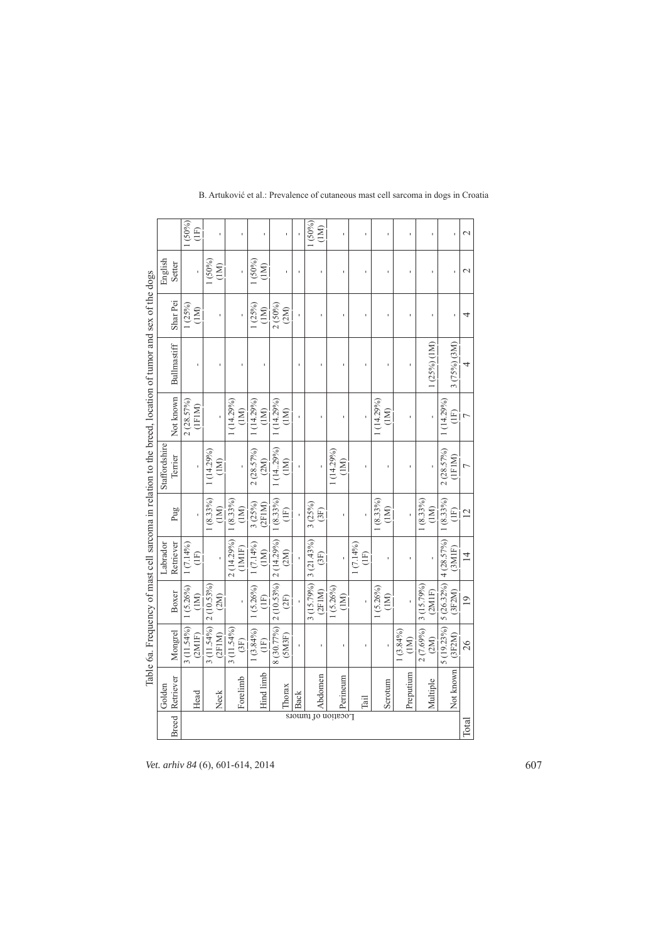|                                                                                                          |                          | 1(50%)<br>(E)          |                              |                      |                              |                               |    | 1(50%)<br>(1M)      | ï                                                                                                                                                                                                                                                              |                     |                                 |                     |                      |                                | $\mathcal{L}$   |
|----------------------------------------------------------------------------------------------------------|--------------------------|------------------------|------------------------------|----------------------|------------------------------|-------------------------------|----|---------------------|----------------------------------------------------------------------------------------------------------------------------------------------------------------------------------------------------------------------------------------------------------------|---------------------|---------------------------------|---------------------|----------------------|--------------------------------|-----------------|
|                                                                                                          | English<br>Setter        | ï                      | $(50\%)$<br>(1M)             | ï                    | $(50\%)$<br>(1M)             | ï                             | í. | í.                  | ï                                                                                                                                                                                                                                                              | ï                   | ï                               | ï                   | ï                    |                                | $\mathcal{L}$   |
|                                                                                                          | Shar Pei                 | 1(25%)<br>(1M)         |                              | ï                    | (25%)<br>(1M)                | 2(50%)<br>(2M)                |    | í.                  | ï                                                                                                                                                                                                                                                              | ï                   |                                 | ï                   |                      |                                | 4               |
| Table 6a. Frequency of mast cell sarcoma in relation to the breed, location of tumor and sex of the dogs | Bullmastiff              |                        |                              |                      |                              |                               |    |                     |                                                                                                                                                                                                                                                                |                     |                                 |                     | $(25\%)$ (1M)        | $3(75%)$ $(3M)$                | 4               |
|                                                                                                          | Not known                | 2(28.57%)<br>(1FIM)    |                              | (14.29%)<br>(1M)     | (14.29%)<br>(1M)             | 1(14.29%)<br>$\sum_{i=1}^{n}$ |    |                     |                                                                                                                                                                                                                                                                |                     | 1(14.29%)<br>$\sum_{i=1}^{n}$   |                     |                      | 1(14.29%)<br>$\left(1F\right)$ | $\overline{ }$  |
|                                                                                                          | Staffordshire<br>Terrier | ï                      | (14.29%)<br>$\sum_{i=1}^{n}$ |                      | $2(28.57\%)$<br>(2M)         | 1(14.29%)<br>$\sum_{i=1}^{n}$ |    |                     | 1(14.29%)<br>$\overline{2}$                                                                                                                                                                                                                                    |                     |                                 |                     |                      | 2(28.57%)<br>(1FIM)            | Ļ               |
|                                                                                                          | Pug                      |                        | $1(8.33\%)$<br>(1M)          | $(8.33\%)$<br>(1M)   | 3(25%)<br>(2FIM)             | $1(8.33\%)$<br>(1F)           |    | 3(25%)<br>(3F)      |                                                                                                                                                                                                                                                                |                     | $1(8.33\%)$<br>$\sum_{i=1}^{n}$ |                     | $(8.33\%)$<br>(1M)   | $1(8.33\%)$<br>$\Xi$           | $\overline{2}$  |
|                                                                                                          | Retriever<br>Labrador    | $1(7.14\%)$<br>Ē       |                              | 2 (14.29%)<br>(1M1F) | $1(7.14\%)$<br>(1M)          | 2 (10.53%) 2 (14.29%)<br>(2M) |    | 3(21.43%)<br>(3F)   |                                                                                                                                                                                                                                                                | $1(7.14\%)$<br>(1F) |                                 |                     |                      | 4(28.57%)<br>(3M1F)            | $\overline{4}$  |
|                                                                                                          | Boxer                    | 1 (5.26%)<br>(1M)      | 2 (10.53%)<br>(2M)           |                      | $1(5.26\%)$<br>$\widehat{H}$ | (2F)                          |    | 3(15.79%)<br>(2FIM) | $1(5.26\%)$<br>(1M)                                                                                                                                                                                                                                            |                     | $1(5.26\%)$<br>(1M)             |                     | 3 (15.79%)<br>(2M1F) | 5 (26.32%)<br>(3F2M)           | $\overline{19}$ |
|                                                                                                          | Mongrel                  | $3(11.54\%)$<br>(2M1F) | 3 (11.54%)<br>(2FIM)         | $3(11.54\%)$<br>(3F) | $1(3.84\%)$<br>(1F)          | 8 (30.77%)<br>(SM3F)          |    |                     |                                                                                                                                                                                                                                                                |                     |                                 | $1(3.84\%)$<br>(1M) | 2(7.69%)<br>(2M)     | 5 (19.23%)<br>(3F2M)           | 26              |
|                                                                                                          | Retriever<br>Golden      | Head                   | Neck                         | Forelimb             | Hind limb                    | Thorax                        |    | Abdomen             | sional To coins<br>Single Strategy<br>Single Strategy<br>Single Strategy<br>Perinemant<br>Perinemant<br>Perinemant<br>Perinemant<br>Perinemant<br>Perinemant<br>Perinemant<br>Perinemant<br>Perinemant<br>Perinemant<br>Perinemant<br>Perinemant<br>Perinemant | Tail                | Scrotum                         | Preputium           | Multiple             | Not known                      |                 |
|                                                                                                          | <b>Breed</b>             |                        |                              |                      |                              |                               |    |                     |                                                                                                                                                                                                                                                                |                     |                                 |                     |                      |                                | Total           |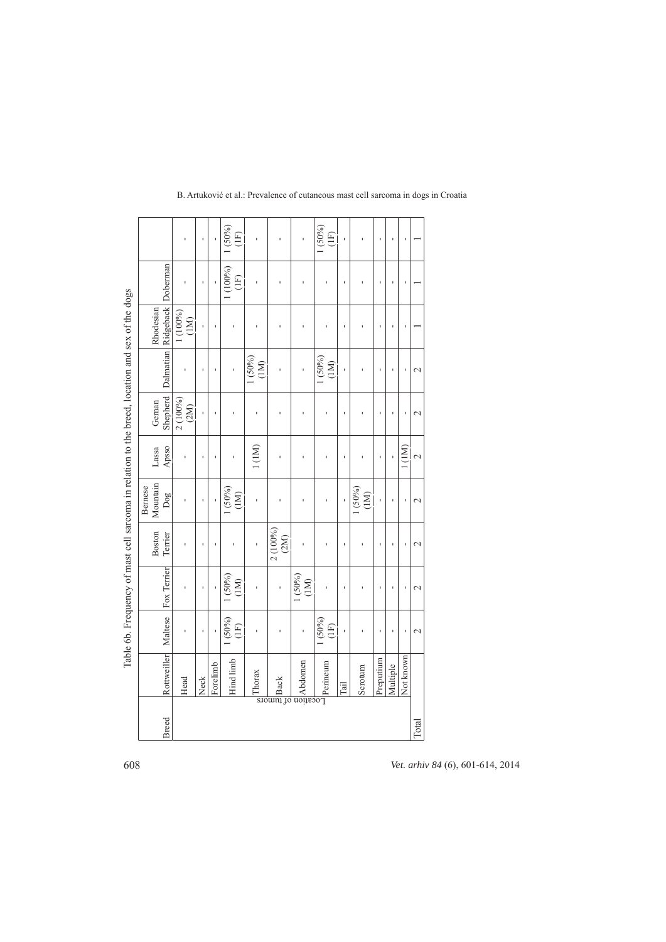|                                                                                                 |                     |                              |                  | ı    | ï        | 1(50%)<br>(E)    | ï              |                          | ı                                                                                                                                                                    | 1(50%)<br>(E)   | $\mathbf{I}$ | ı               | f,        | ï        | f,        |                          |
|-------------------------------------------------------------------------------------------------|---------------------|------------------------------|------------------|------|----------|------------------|----------------|--------------------------|----------------------------------------------------------------------------------------------------------------------------------------------------------------------|-----------------|--------------|-----------------|-----------|----------|-----------|--------------------------|
|                                                                                                 |                     |                              |                  | ı    |          | (100%)<br>(1F)   |                | ï                        | ï                                                                                                                                                                    |                 | $\mathbf{I}$ | ı               | ×         | ï        | ï         |                          |
| Table 6b. Frequency of mast cell sarcoma in relation to the breed, location and sex of the dogs | Rhodesian           | Dalmatian Ridgeback Doberman | 1 (100%)<br>(1M) | Ĭ.   | ï        |                  | ï              | ï                        | ı                                                                                                                                                                    | ı               | Ï            | ï               | ×         | ï        | ï         |                          |
|                                                                                                 |                     |                              |                  | f,   | ï        |                  | 1(50%)<br>(1M) | ï                        |                                                                                                                                                                      | 1 (50%)<br>(1M) | ï            | ı               | ×         |          |           | $\mathbf 2$              |
|                                                                                                 | Gernan              | Shepherd                     | 2(100%)<br>(2M)  | ı    | ı        |                  | ı              |                          |                                                                                                                                                                      |                 | $\mathbf{I}$ |                 | ı         | ï        | ï         | $\mathbf{\sim}$          |
|                                                                                                 | Lassa               | Apsso                        |                  | ı    | ı        |                  | 1(1M)          | ï                        |                                                                                                                                                                      |                 | ï            |                 | ï         |          | 1(1M)     | $\overline{\mathcal{C}}$ |
|                                                                                                 | Mountain<br>Bernese | Dog                          |                  | ï    | ï        | $(50\%)$<br>(1M) | ï              | ï                        |                                                                                                                                                                      | Ï               |              | 1 (50%)<br>(1M) |           | ï        | ı         | $\mathrel{\sim}$         |
|                                                                                                 | Boston              | Terrier                      |                  | ı    | ı        |                  | ï              | 2 (100%)<br>(2M)         | ï                                                                                                                                                                    | ï               | $\mathbf{I}$ |                 | ı         |          | ï         | $\mathbf 2$              |
|                                                                                                 |                     | Fox Terrier                  |                  | ï    | ï        | 1(50%)<br>(1M)   |                |                          | 1 (50%)<br>(1M)                                                                                                                                                      |                 | ï            |                 |           |          | ï         | $\mathbf 2$              |
|                                                                                                 |                     | Maltese                      |                  | ï    | ï        | $(50\%)$<br>(1F) |                |                          |                                                                                                                                                                      | 1(50%)<br>(1F)  | ï            |                 |           |          | ï         | $\mathcal{L}$            |
|                                                                                                 |                     | Rottweiller                  | Head             | Neck | Forelimb | Hind limb        | Thorax         | $\frac{1}{\sinh \theta}$ | $\begin{tabular}{c} \hline \text{unim}{\bf 2D} \\ \hline \text{nonim}{\bf 3D} \\ \hline \text{nonim}{\bf 4D} \\ \hline \text{nonim}{\bf 4D} \\ \hline \end{tabular}$ |                 | Tail         | Scrotum         | Preputium | Multiple | Not known |                          |
|                                                                                                 |                     |                              |                  |      |          |                  |                |                          |                                                                                                                                                                      |                 |              |                 |           |          |           |                          |
|                                                                                                 |                     | Breed                        |                  |      |          |                  |                |                          |                                                                                                                                                                      |                 |              |                 |           |          |           | Total                    |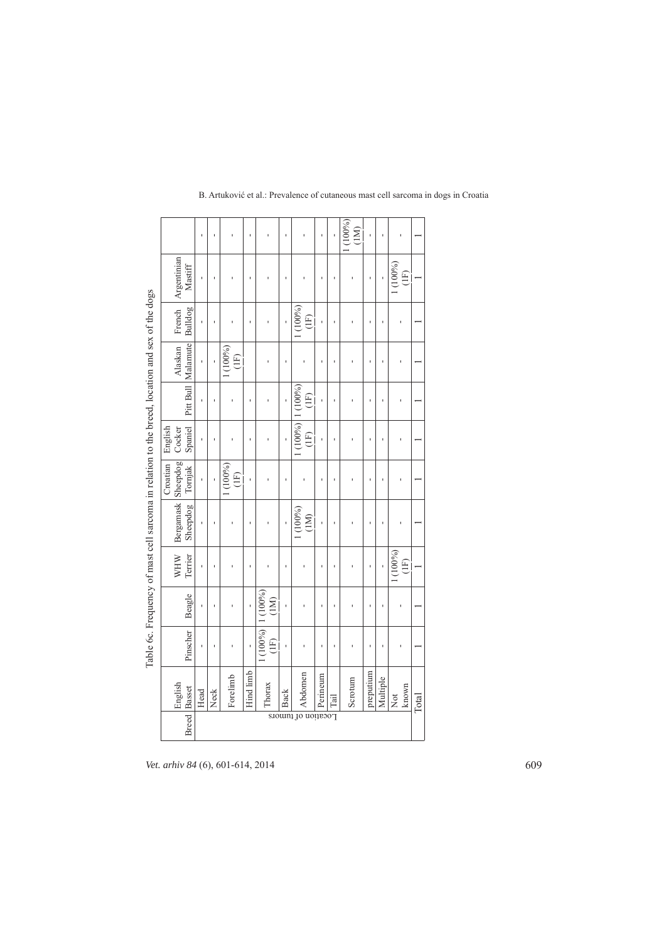|                                                                                                 |                                            | ı    |      |                | ï         |                              | $\mathbf{I}$ | ï                                    |          | ï    | (100%<br>(1M) |           | ï        |                                |       |
|-------------------------------------------------------------------------------------------------|--------------------------------------------|------|------|----------------|-----------|------------------------------|--------------|--------------------------------------|----------|------|---------------|-----------|----------|--------------------------------|-------|
|                                                                                                 | French   Argentinian<br>$\mathbf{Mastiff}$ | ı    |      |                | ï         |                              | ï            |                                      | ï        | ï    |               |           |          | $(100\%)$<br>(E)               |       |
|                                                                                                 | Bulldog                                    |      |      |                | ï         |                              |              | (100%)<br>(1F)                       |          | ï    |               | ï         | ï        |                                |       |
| Table 6c. Frequency of mast cell sarcoma in relation to the breed, location and sex of the dogs | Pitt Bull  Malamute <br>Alaskan            | ı    |      | (100%)<br>(1F) |           |                              | ı            |                                      | ï        | ı    |               | Ĭ.        | ï        |                                |       |
|                                                                                                 |                                            | ï    | ï    |                | ı         |                              |              | $1(100\%)$ 1 (100%)<br>$\widehat{H}$ | ı        | ï    |               | ı         | ï        |                                |       |
|                                                                                                 | Spaniel<br>English<br>Cocker               |      |      |                | ı         |                              |              | (1F)                                 |          | ı    |               |           |          |                                |       |
|                                                                                                 | Croatian<br>Tornjak                        |      |      | (100%)<br>(1F) | ï         |                              | $\mathbf{I}$ |                                      | ï        | ï    |               | ï         | ï        |                                |       |
|                                                                                                 | Bergamask Sheepdog<br>Sheepdog             |      |      |                | ı         |                              |              | $(100\%)$<br>(1M)                    |          | ı    |               |           |          |                                |       |
|                                                                                                 | Terrier<br>WHW                             | ï    | ı    |                | ı         |                              |              |                                      | ï        | ï    |               | ï         |          | (100%)<br>(1F)                 |       |
|                                                                                                 | Beagle                                     | ï    |      |                | ï         | 1(100%)<br>(1M)              |              |                                      | ï        | ı    |               | ï         | ï        |                                |       |
|                                                                                                 | Pinscher                                   | ı    |      |                | ï         | 1(100%)<br>$\left(1E\right)$ |              |                                      | ï        | ï    |               |           |          |                                |       |
|                                                                                                 | English                                    | Head | Neck | Forelimb       | Hind limb | Thorax                       | Back         | Abdomen                              | Perineum | Tail | Scrotum       | preputium | Multiple | known<br>$\overline{\text{X}}$ | Total |
|                                                                                                 | <b>Breed</b> Basset                        |      |      |                |           |                              |              | Location of tumors                   |          |      |               |           |          |                                |       |

*Vet. arhiv 84* (6), 601-614, 2014 609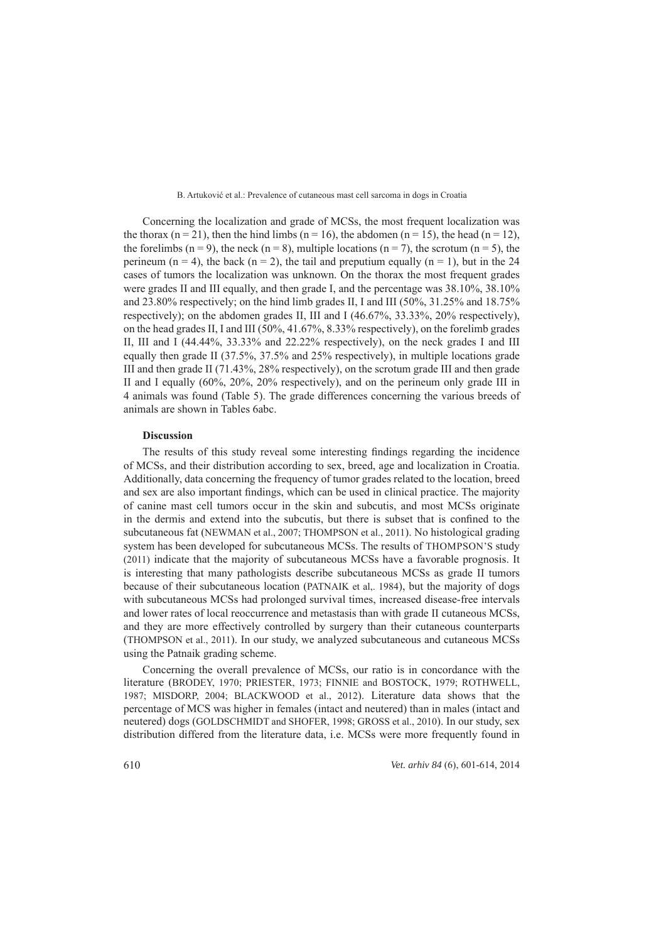Concerning the localization and grade of MCSs, the most frequent localization was the thorax (n = 21), then the hind limbs (n = 16), the abdomen (n = 15), the head (n = 12), the forelimbs (n = 9), the neck (n = 8), multiple locations (n = 7), the scrotum (n = 5), the perineum (n = 4), the back (n = 2), the tail and preputium equally (n = 1), but in the 24 cases of tumors the localization was unknown. On the thorax the most frequent grades were grades II and III equally, and then grade I, and the percentage was  $38.10\%$ ,  $38.10\%$ and 23.80% respectively; on the hind limb grades II, I and III  $(50\%, 31.25\%$  and  $18.75\%$ respectively); on the abdomen grades II, III and I  $(46.67\%), 33.33\%$ ,  $20\%$  respectively), on the head grades II, I and III (50%, 41.67%, 8.33% respectively), on the forelimb grades II, III and I (44.44%, 33.33% and 22.22% respectively), on the neck grades I and III equally then grade II (37.5%, 37.5% and 25% respectively), in multiple locations grade III and then grade II (71.43%, 28% respectively), on the scrotum grade III and then grade II and I equally  $(60\%, 20\%, 20\%$  respectively), and on the perineum only grade III in 4 animals was found (Table 5). The grade differences concerning the various breeds of animals are shown in Tables 6abc.

### **Discussion iscussion**

The results of this study reveal some interesting findings regarding the incidence of MCSs, and their distribution according to sex, breed, age and localization in Croatia. Additionally, data concerning the frequency of tumor grades related to the location, breed and sex are also important findings, which can be used in clinical practice. The majority of canine mast cell tumors occur in the skin and subcutis, and most MCSs originate in the dermis and extend into the subcutis, but there is subset that is confined to the subcutaneous fat (NEWMAN et al., 2007; THOMPSON et al., 2011). No histological grading system has been developed for subcutaneous MCSs. The results of THOMPSON'S study  $(2011)$  indicate that the majority of subcutaneous MCSs have a favorable prognosis. It is interesting that many pathologists describe subcutaneous MCSs as grade II tumors because of their subcutaneous location (PATNAIK et al., 1984), but the majority of dogs with subcutaneous MCSs had prolonged survival times, increased disease-free intervals and lower rates of local reoccurrence and metastasis than with grade II cutaneous MCSs, and they are more effectively controlled by surgery than their cutaneous counterparts (THOMPSON et al., 2011). In our study, we analyzed subcutaneous and cutaneous MCSs using the Patnaik grading scheme.

Concerning the overall prevalence of MCSs, our ratio is in concordance with the literature (BRODEY, 1970; PRIESTER, 1973; FINNIE and BOSTOCK, 1979; ROTHWELL, 1987; MISDORP, 2004; BLACKWOOD et al., 2012). Literature data shows that the percentage of MCS was higher in females (intact and neutered) than in males (intact and neutered) dogs (GOLDSCHMIDT and SHOFER, 1998; GROSS et al., 2010). In our study, sex distribution differed from the literature data, i.e. MCSs were more frequently found in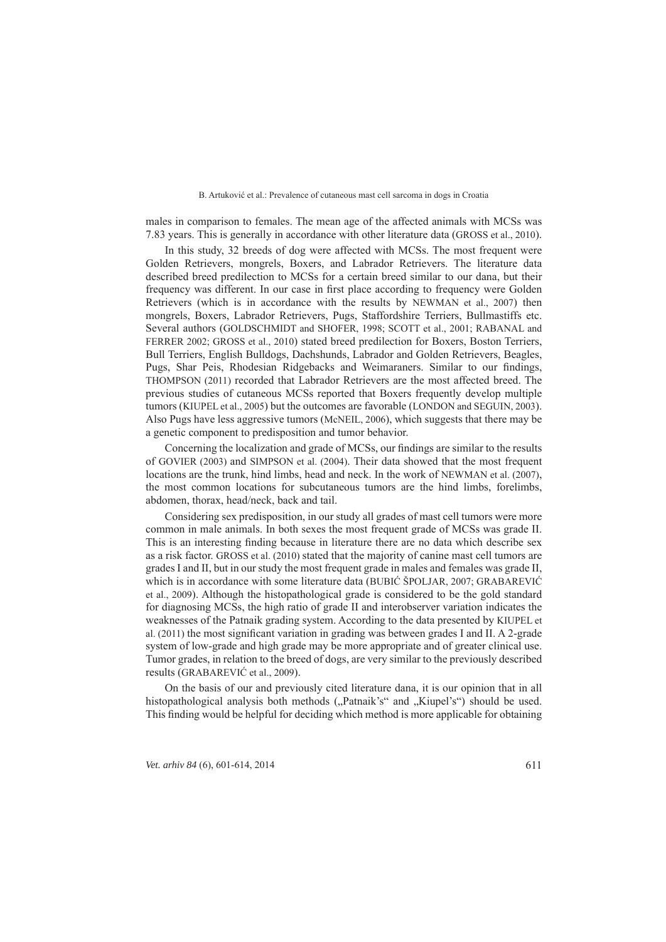males in comparison to females. The mean age of the affected animals with MCSs was 7.83 years. This is generally in accordance with other literature data (GROSS et al., 2010).

In this study, 32 breeds of dog were affected with MCSs. The most frequent were Golden Retrievers, mongrels, Boxers, and Labrador Retrievers. The literature data described breed predilection to MCSs for a certain breed similar to our dana, but their frequency was different. In our case in first place according to frequency were Golden Retrievers (which is in accordance with the results by NEWMAN et al., 2007) then mongrels, Boxers, Labrador Retrievers, Pugs, Staffordshire Terriers, Bullmastiffs etc. Several authors (GOLDSCHMIDT and SHOFER, 1998; SCOTT et al., 2001; RABANAL and FERRER 2002; GROSS et al., 2010) stated breed predilection for Boxers, Boston Terriers, Bull Terriers, English Bulldogs, Dachshunds, Labrador and Golden Retrievers, Beagles, Pugs, Shar Peis, Rhodesian Ridgebacks and Weimaraners. Similar to our findings, THOMPSON (2011) recorded that Labrador Retrievers are the most affected breed. The previous studies of cutaneous MCSs reported that Boxers frequently develop multiple tumors (KIUPEL et al., 2005) but the outcomes are favorable (LONDON and SEGUIN, 2003). Also Pugs have less aggressive tumors (McNEIL, 2006), which suggests that there may be a genetic component to predisposition and tumor behavior.

Concerning the localization and grade of MCSs, our findings are similar to the results of GOVIER (2003) and SIMPSON et al. (2004). Their data showed that the most frequent locations are the trunk, hind limbs, head and neck. In the work of NEWMAN et al.  $(2007)$ , the most common locations for subcutaneous tumors are the hind limbs, forelimbs, abdomen, thorax, head/neck, back and tail.

Considering sex predisposition, in our study all grades of mast cell tumors were more common in male animals. In both sexes the most frequent grade of MCSs was grade II. This is an interesting finding because in literature there are no data which describe sex as a risk factor. GROSS et al. (2010) stated that the majority of canine mast cell tumors are grades I and II, but in our study the most frequent grade in males and females was grade II, which is in accordance with some literature data (BUBIĆ ŠPOLJAR, 2007; GRABAREVIĆ et al., 2009). Although the histopathological grade is considered to be the gold standard for diagnosing MCSs, the high ratio of grade II and interobserver variation indicates the weaknesses of the Patnaik grading system. According to the data presented by KIUPEL et al. (2011) the most significant variation in grading was between grades I and II. A 2-grade system of low-grade and high grade may be more appropriate and of greater clinical use. Tumor grades, in relation to the breed of dogs, are very similar to the previously described results (GRABAREVIĆ et al., 2009).

On the basis of our and previously cited literature dana, it is our opinion that in all histopathological analysis both methods ("Patnaik's" and "Kiupel's") should be used. This finding would be helpful for deciding which method is more applicable for obtaining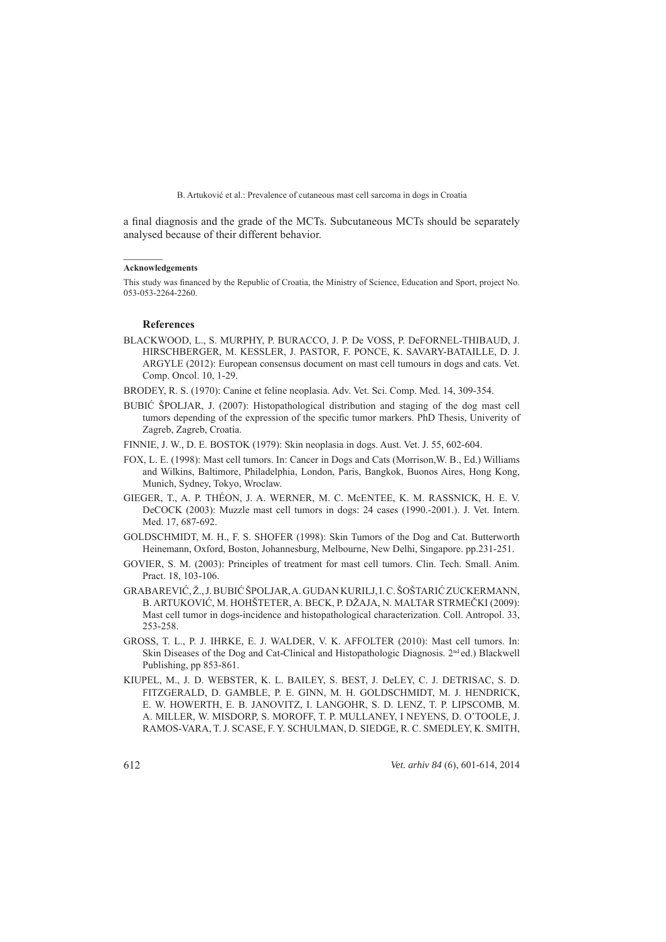a final diagnosis and the grade of the MCTs. Subcutaneous MCTs should be separately analysed because of their different behavior.

### **Acknowledgements**

This study was financed by the Republic of Croatia, the Ministry of Science, Education and Sport, project No. 053-053-2264-2260. 53-053-2264-2260.

### **References eferences**

BLACKWOOD, L., S. MURPHY, P. BURACCO, J. P. De VOSS, P. DeFORNEL-THIBAUD, J. HIRSCHBERGER, M. KESSLER, J. PASTOR, F. PONCE, K. SAVARY-BATAILLE, D. J. ARGYLE (2012): European consensus document on mast cell tumours in dogs and cats. Vet. Comp. Oncol. 10, 1-29.

BRODEY, R. S. (1970): Canine et feline neoplasia. Adv. Vet. Sci. Comp. Med. 14, 309-354.

- BUBIĆ ŠPOLJAR, J. (2007): Histopathological distribution and staging of the dog mast cell tumors depending of the expression of the specific tumor markers. PhD Thesis, Univerity of Zagreb, Zagreb, Croatia.
- FINNIE, J. W., D. E. BOSTOK (1979): Skin neoplasia in dogs. Aust. Vet. J. 55, 602-604.
- FOX, L. E. (1998): Mast cell tumors. In: Cancer in Dogs and Cats (Morrison, W. B., Ed.) Williams and Wilkins, Baltimore, Philadelphia, London, Paris, Bangkok, Buonos Aires, Hong Kong, Munich, Sydney, Tokyo, Wroclaw.
- GIEGER, T., A. P. THÉON, J. A. WERNER, M. C. MCENTEE, K. M. RASSNICK, H. E. V. DeCOCK (2003): Muzzle mast cell tumors in dogs: 24 cases (1990.-2001.). J. Vet. Intern. Med. 17, 687-692.
- GOLDSCHMIDT, M. H., F. S. SHOFER (1998): Skin Tumors of the Dog and Cat. Butterworth Heinemann, Oxford, Boston, Johannesburg, Melbourne, New Delhi, Singapore. pp.231-251.
- GOVIER, S. M. (2003): Principles of treatment for mast cell tumors. Clin. Tech. Small. Anim. Pract. 18, 103-106.
- GRABAREVIĆ, Ž., J. BUBIĆ ŠPOLJAR, A. GUDAN KURILJ, I. C. ŠOŠTARIĆ ZUCKERMANN, B. ARTUKOVIĆ, M. HOHŠTETER, A. BECK, P. DŽAJA, N. MALTAR STRMEČKI (2009): Mast cell tumor in dogs-incidence and histopathological characterization. Coll. Antropol. 33, 253-258
- GROSS, T. L., P. J. IHRKE, E. J. WALDER, V. K. AFFOLTER (2010): Mast cell tumors. In: Skin Diseases of the Dog and Cat-Clinical and Histopathologic Diagnosis.  $2<sup>nd</sup>$  ed.) Blackwell Publishing, pp 853-861.
- KIUPEL, M., J. D. WEBSTER, K. L. BAILEY, S. BEST, J. DeLEY, C. J. DETRISAC, S. D. FITZGERALD, D. GAMBLE, P. E. GINN, M. H. GOLDSCHMIDT, M. J. HENDRICK, E. W. HOWERTH, E. B. JANOVITZ, I. LANGOHR, S. D. LENZ, T. P. LIPSCOMB, M. A. MILLER, W. MISDORP, S. MOROFF, T. P. MULLANEY, I NEYENS, D. O'TOOLE, J. RAMOS-VARA, T. J. SCASE, F. Y. SCHULMAN, D. SIEDGE, R. C. SMEDLEY, K. SMITH,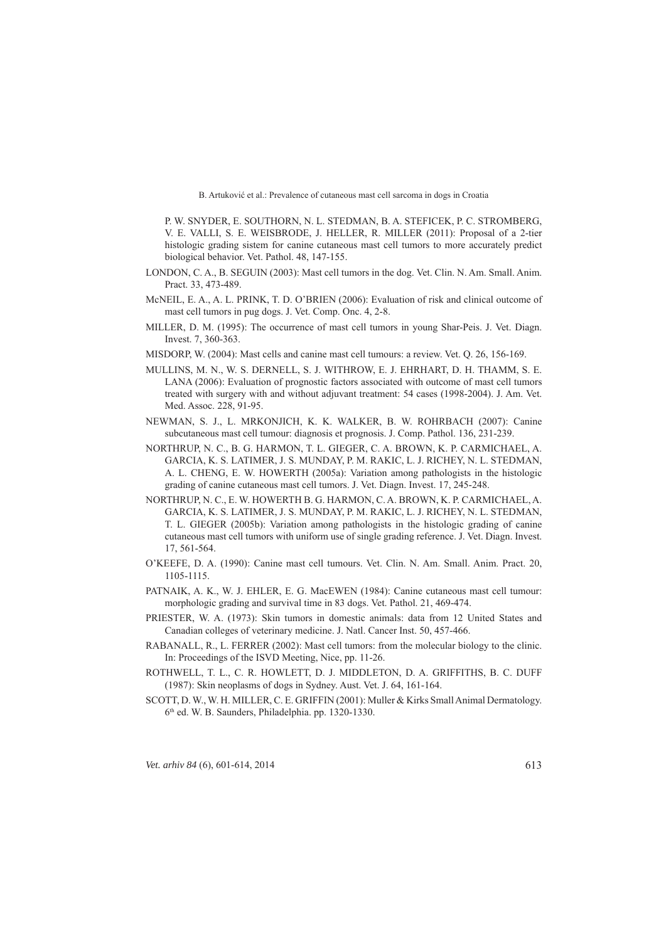P. W. SNYDER, E. SOUTHORN, N. L. STEDMAN, B. A. STEFICEK, P. C. STROMBERG, V. E. VALLI, S. E. WEISBRODE, J. HELLER, R. MILLER (2011): Proposal of a 2-tier histologic grading sistem for canine cutaneous mast cell tumors to more accurately predict biological behavior. Vet. Pathol. 48, 147-155.

- LONDON, C. A., B. SEGUIN (2003): Mast cell tumors in the dog. Vet. Clin. N. Am. Small. Anim. Pract. 33, 473-489.
- McNEIL, E. A., A. L. PRINK, T. D. O'BRIEN (2006): Evaluation of risk and clinical outcome of mast cell tumors in pug dogs. J. Vet. Comp. Onc. 4, 2-8.
- MILLER, D. M. (1995): The occurrence of mast cell tumors in young Shar-Peis. J. Vet. Diagn. Invest. 7, 360-363.
- MISDORP, W. (2004): Mast cells and canine mast cell tumours: a review. Vet. Q. 26, 156-169.
- MULLINS, M. N., W. S. DERNELL, S. J. WITHROW, E. J. EHRHART, D. H. THAMM, S. E. LANA (2006): Evaluation of prognostic factors associated with outcome of mast cell tumors treated with surgery with and without adjuvant treatment: 54 cases (1998-2004). J. Am. Vet. Med. Assoc. 228, 91-95.
- NEWMAN, S. J., L. MRKONJICH, K. K. WALKER, B. W. ROHRBACH (2007): Canine subcutaneous mast cell tumour: diagnosis et prognosis. J. Comp. Pathol. 136, 231-239.
- NORTHRUP, N. C., B. G. HARMON, T. L. GIEGER, C. A. BROWN, K. P. ORTHRUP, P. CARMICHAEL, A. GARCIA, K. S. LATIMER, J. S. MUNDAY, P. M. RAKIC, L. J. RICHEY, N. L. STEDMAN, A. L. CHENG, E. W. HOWERTH (2005a): Variation among pathologists in the histologic grading of canine cutaneous mast cell tumors. J. Vet. Diagn. Invest. 17, 245-248.
- NORTHRUP, N. C., E. W. HOWERTH B. G. HARMON, C. A. BROWN, K. P. ORTHRUP, P. CARMICHAEL, A. GARCIA, K. S. LATIMER, J. S. MUNDAY, P. M. RAKIC, L. J. RICHEY, N. L. STEDMAN, T. L. GIEGER (2005b): Variation among pathologists in the histologic grading of canine cutaneous mast cell tumors with uniform use of single grading reference. J. Vet. Diagn. Invest. 17, 561-564.
- O'KEEFE, D. A. (1990): Canine mast cell tumours. Vet. Clin. N. Am. Small. Anim. Pract. 20, 1105-1115
- PATNAIK, A. K., W. J. EHLER, E. G. MacEWEN (1984): Canine cutaneous mast cell tumour: morphologic grading and survival time in 83 dogs. Vet. Pathol. 21, 469-474.
- PRIESTER, W. A. (1973): Skin tumors in domestic animals: data from 12 United States and Canadian colleges of veterinary medicine. J. Natl. Cancer Inst. 50, 457-466.
- RABANALL, R., L. FERRER (2002): Mast cell tumors: from the molecular biology to the clinic. In: Proceedings of the ISVD Meeting, Nice, pp. 11-26.
- ROTHWELL, T. L., C. R. HOWLETT, D. J. MIDDLETON, D. A. GRIFFITHS, B. C. DUFF (1987): Skin neoplasms of dogs in Sydney. Aust. Vet. J. 64, 161-164.
- SCOTT, D. W., W. H. MILLER, C. E. GRIFFIN (2001): Muller & Kirks Small Animal Dermatology.  $6<sup>th</sup>$  ed. W. B. Saunders, Philadelphia. pp. 1320-1330.